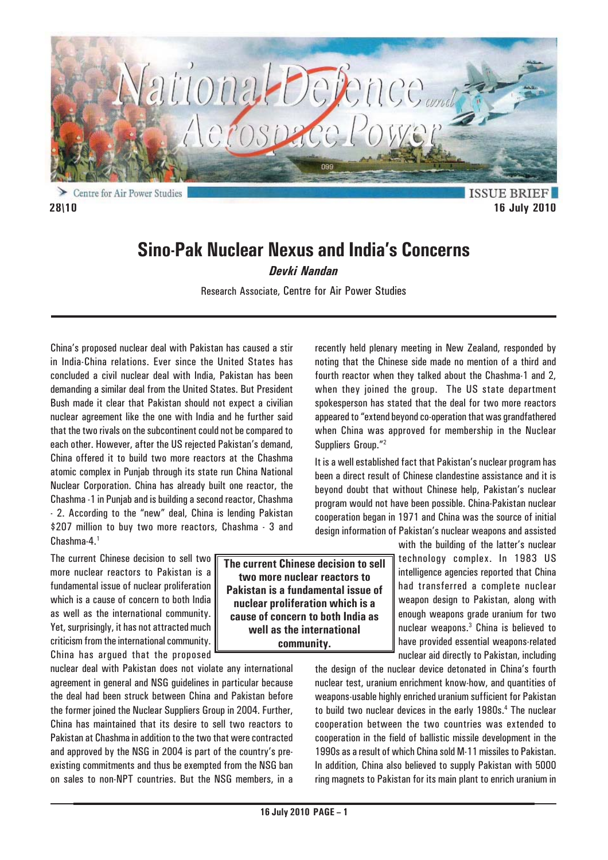

**ISSUE BRIEF 28\10 16 July 2010**

# **Sino-Pak Nuclear Nexus and India's Concerns**

*Devki Nandan*

Research Associate, Centre for Air Power Studies

China's proposed nuclear deal with Pakistan has caused a stir in India-China relations. Ever since the United States has concluded a civil nuclear deal with India, Pakistan has been demanding a similar deal from the United States. But President Bush made it clear that Pakistan should not expect a civilian nuclear agreement like the one with India and he further said that the two rivals on the subcontinent could not be compared to each other. However, after the US rejected Pakistan's demand, China offered it to build two more reactors at the Chashma atomic complex in Punjab through its state run China National Nuclear Corporation. China has already built one reactor, the Chashma -1 in Punjab and is building a second reactor, Chashma - 2. According to the "new" deal, China is lending Pakistan \$207 million to buy two more reactors, Chashma - 3 and Chashma-4.1

The current Chinese decision to sell two more nuclear reactors to Pakistan is a fundamental issue of nuclear proliferation which is a cause of concern to both India as well as the international community. Yet, surprisingly, it has not attracted much criticism from the international community. China has argued that the proposed

nuclear deal with Pakistan does not violate any international agreement in general and NSG guidelines in particular because the deal had been struck between China and Pakistan before the former joined the Nuclear Suppliers Group in 2004. Further, China has maintained that its desire to sell two reactors to Pakistan at Chashma in addition to the two that were contracted and approved by the NSG in 2004 is part of the country's preexisting commitments and thus be exempted from the NSG ban on sales to non-NPT countries. But the NSG members, in a recently held plenary meeting in New Zealand, responded by noting that the Chinese side made no mention of a third and fourth reactor when they talked about the Chashma-1 and 2, when they joined the group. The US state department spokesperson has stated that the deal for two more reactors appeared to "extend beyond co-operation that was grandfathered when China was approved for membership in the Nuclear Suppliers Group."<sup>2</sup>

It is a well established fact that Pakistan's nuclear program has been a direct result of Chinese clandestine assistance and it is beyond doubt that without Chinese help, Pakistan's nuclear program would not have been possible. China-Pakistan nuclear cooperation began in 1971 and China was the source of initial design information of Pakistan's nuclear weapons and assisted

> with the building of the latter's nuclear technology complex. In 1983 US intelligence agencies reported that China had transferred a complete nuclear weapon design to Pakistan, along with enough weapons grade uranium for two nuclear weapons.3 China is believed to have provided essential weapons-related nuclear aid directly to Pakistan, including

the design of the nuclear device detonated in China's fourth nuclear test, uranium enrichment know-how, and quantities of weapons-usable highly enriched uranium sufficient for Pakistan to build two nuclear devices in the early 1980s.<sup>4</sup> The nuclear cooperation between the two countries was extended to cooperation in the field of ballistic missile development in the 1990s as a result of which China sold M-11 missiles to Pakistan. In addition, China also believed to supply Pakistan with 5000 ring magnets to Pakistan for its main plant to enrich uranium in

**The current Chinese decision to sell two more nuclear reactors to Pakistan is a fundamental issue of nuclear proliferation which is a cause of concern to both India as well as the international community.**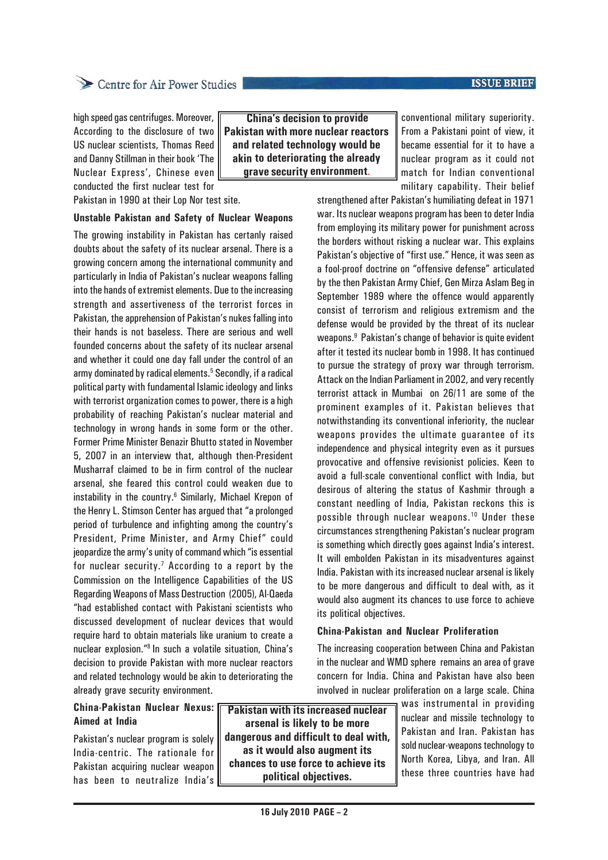### **ISSUE BRIEF**

# Centre for Air Power Studies

high speed gas centrifuges. Moreover, According to the disclosure of two US nuclear scientists, Thomas Reed and Danny Stillman in their book 'The Nuclear Express', Chinese even conducted the first nuclear test for

Pakistan in 1990 at their Lop Nor test site.

### **Unstable Pakistan and Safety of Nuclear Weapons**

The growing instability in Pakistan has certanly raised doubts about the safety of its nuclear arsenal. There is a growing concern among the international community and particularly in India of Pakistan's nuclear weapons falling into the hands of extremist elements. Due to the increasing strength and assertiveness of the terrorist forces in Pakistan, the apprehension of Pakistan's nukes falling into their hands is not baseless. There are serious and well founded concerns about the safety of its nuclear arsenal and whether it could one day fall under the control of an army dominated by radical elements.<sup>5</sup> Secondly, if a radical political party with fundamental Islamic ideology and links with terrorist organization comes to power, there is a high probability of reaching Pakistan's nuclear material and technology in wrong hands in some form or the other. Former Prime Minister Benazir Bhutto stated in November 5, 2007 in an interview that, although then-President Musharraf claimed to be in firm control of the nuclear arsenal, she feared this control could weaken due to instability in the country.6 Similarly, Michael Krepon of the Henry L. Stimson Center has argued that "a prolonged period of turbulence and infighting among the country's President, Prime Minister, and Army Chief" could jeopardize the army's unity of command which "is essential for nuclear security.<sup>7</sup> According to a report by the Commission on the Intelligence Capabilities of the US Regarding Weapons of Mass Destruction (2005), Al-Qaeda "had established contact with Pakistani scientists who discussed development of nuclear devices that would require hard to obtain materials like uranium to create a nuclear explosion."8 In such a volatile situation, China's decision to provide Pakistan with more nuclear reactors and related technology would be akin to deteriorating the already grave security environment.

**China's decision to provide Pakistan with more nuclear reactors and related technology would be akin to deteriorating the already grave security environment**.

conventional military superiority. From a Pakistani point of view, it became essential for it to have a nuclear program as it could not match for Indian conventional military capability. Their belief

strengthened after Pakistan's humiliating defeat in 1971 war. Its nuclear weapons program has been to deter India from employing its military power for punishment across the borders without risking a nuclear war. This explains Pakistan's objective of "first use." Hence, it was seen as a fool-proof doctrine on "offensive defense" articulated by the then Pakistan Army Chief, Gen Mirza Aslam Beg in September 1989 where the offence would apparently consist of terrorism and religious extremism and the defense would be provided by the threat of its nuclear weapons.9 Pakistan's change of behavior is quite evident after it tested its nuclear bomb in 1998. It has continued to pursue the strategy of proxy war through terrorism. Attack on the Indian Parliament in 2002, and very recently terrorist attack in Mumbai on 26/11 are some of the prominent examples of it. Pakistan believes that notwithstanding its conventional inferiority, the nuclear weapons provides the ultimate guarantee of its independence and physical integrity even as it pursues provocative and offensive revisionist policies. Keen to avoid a full-scale conventional conflict with India, but desirous of altering the status of Kashmir through a constant needling of India, Pakistan reckons this is possible through nuclear weapons.10 Under these circumstances strengthening Pakistan's nuclear program is something which directly goes against India's interest. It will embolden Pakistan in its misadventures against India. Pakistan with its increased nuclear arsenal is likely to be more dangerous and difficult to deal with, as it would also augment its chances to use force to achieve its political objectives.

### **China-Pakistan and Nuclear Proliferation**

The increasing cooperation between China and Pakistan in the nuclear and WMD sphere remains an area of grave concern for India. China and Pakistan have also been involved in nuclear proliferation on a large scale. China

## **China-Pakistan Nuclear Nexus: Aimed at India**

Pakistan's nuclear program is solely India-centric. The rationale for Pakistan acquiring nuclear weapon has been to neutralize India's

**Pakistan with its increased nuclear arsenal is likely to be more dangerous and difficult to deal with, as it would also augment its chances to use force to achieve its political objectives.**

was instrumental in providing nuclear and missile technology to Pakistan and Iran. Pakistan has sold nuclear-weapons technology to North Korea, Libya, and Iran. All these three countries have had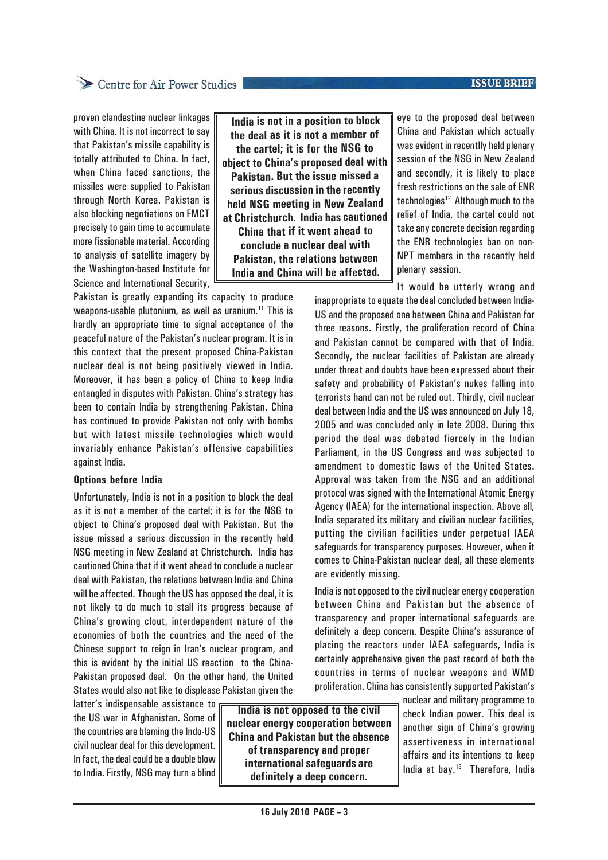### **ISSUE BRIEF**

# Centre for Air Power Studies

proven clandestine nuclear linkages with China. It is not incorrect to say that Pakistan's missile capability is totally attributed to China. In fact, when China faced sanctions, the missiles were supplied to Pakistan through North Korea. Pakistan is also blocking negotiations on FMCT precisely to gain time to accumulate more fissionable material. According to analysis of satellite imagery by the Washington-based Institute for Science and International Security,

 **India is not in a position to block the deal as it is not a member of the cartel; it is for the NSG to object to China's proposed deal with Pakistan. But the issue missed a serious discussion in the recently held NSG meeting in New Zealand at Christchurch. India has cautioned China that if it went ahead to conclude a nuclear deal with Pakistan, the relations between India and China will be affected.**

Pakistan is greatly expanding its capacity to produce weapons-usable plutonium, as well as uranium.<sup>11</sup> This is hardly an appropriate time to signal acceptance of the peaceful nature of the Pakistan's nuclear program. It is in this context that the present proposed China-Pakistan nuclear deal is not being positively viewed in India. Moreover, it has been a policy of China to keep India entangled in disputes with Pakistan. China's strategy has been to contain India by strengthening Pakistan. China has continued to provide Pakistan not only with bombs but with latest missile technologies which would invariably enhance Pakistan's offensive capabilities against India.

### **Options before India**

Unfortunately, India is not in a position to block the deal as it is not a member of the cartel; it is for the NSG to object to China's proposed deal with Pakistan. But the issue missed a serious discussion in the recently held NSG meeting in New Zealand at Christchurch. India has cautioned China that if it went ahead to conclude a nuclear deal with Pakistan, the relations between India and China will be affected. Though the US has opposed the deal, it is not likely to do much to stall its progress because of China's growing clout, interdependent nature of the economies of both the countries and the need of the Chinese support to reign in Iran's nuclear program, and this is evident by the initial US reaction to the China-Pakistan proposed deal. On the other hand, the United States would also not like to displease Pakistan given the

latter's indispensable assistance to the US war in Afghanistan. Some of the countries are blaming the Indo-US civil nuclear deal for this development. In fact, the deal could be a double blow to India. Firstly, NSG may turn a blind

**India is not opposed to the civil nuclear energy cooperation between China and Pakistan but the absence of transparency and proper international safeguards are definitely a deep concern.**

eye to the proposed deal between China and Pakistan which actually was evident in recentlly held plenary session of the NSG in New Zealand and secondly, it is likely to place fresh restrictions on the sale of ENR technologies<sup>12</sup> Although much to the relief of India, the cartel could not take any concrete decision regarding the ENR technologies ban on non-NPT members in the recently held plenary session.

It would be utterly wrong and

inappropriate to equate the deal concluded between India-US and the proposed one between China and Pakistan for three reasons. Firstly, the proliferation record of China and Pakistan cannot be compared with that of India. Secondly, the nuclear facilities of Pakistan are already under threat and doubts have been expressed about their safety and probability of Pakistan's nukes falling into terrorists hand can not be ruled out. Thirdly, civil nuclear deal between India and the US was announced on July 18, 2005 and was concluded only in late 2008. During this period the deal was debated fiercely in the Indian Parliament, in the US Congress and was subjected to amendment to domestic laws of the United States. Approval was taken from the NSG and an additional protocol was signed with the International Atomic Energy Agency (IAEA) for the international inspection. Above all, India separated its military and civilian nuclear facilities, putting the civilian facilities under perpetual IAEA safeguards for transparency purposes. However, when it comes to China-Pakistan nuclear deal, all these elements are evidently missing.

India is not opposed to the civil nuclear energy cooperation between China and Pakistan but the absence of transparency and proper international safeguards are definitely a deep concern. Despite China's assurance of placing the reactors under IAEA safeguards, India is certainly apprehensive given the past record of both the countries in terms of nuclear weapons and WMD proliferation. China has consistently supported Pakistan's

> nuclear and military programme to check Indian power. This deal is another sign of China's growing assertiveness in international affairs and its intentions to keep India at bay.13 Therefore, India